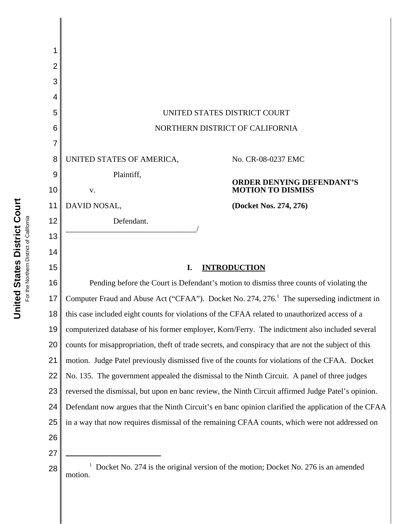| 1  |                                                                                                            |                                                                                                |  |
|----|------------------------------------------------------------------------------------------------------------|------------------------------------------------------------------------------------------------|--|
| 2  |                                                                                                            |                                                                                                |  |
| 3  |                                                                                                            |                                                                                                |  |
| 4  |                                                                                                            |                                                                                                |  |
| 5  | UNITED STATES DISTRICT COURT                                                                               |                                                                                                |  |
| 6  | NORTHERN DISTRICT OF CALIFORNIA                                                                            |                                                                                                |  |
| 7  |                                                                                                            |                                                                                                |  |
| 8  | UNITED STATES OF AMERICA,<br>No. CR-08-0237 EMC                                                            |                                                                                                |  |
| 9  | Plaintiff,<br><b>ORDER DENYING DEFENDANT'S</b>                                                             |                                                                                                |  |
| 10 | <b>MOTION TO DISMISS</b><br>V.                                                                             |                                                                                                |  |
| 11 | DAVID NOSAL,<br>(Docket Nos. 274, 276)                                                                     |                                                                                                |  |
| 12 | Defendant.                                                                                                 |                                                                                                |  |
| 13 |                                                                                                            |                                                                                                |  |
| 14 |                                                                                                            |                                                                                                |  |
| 15 | I.<br><b>INTRODUCTION</b>                                                                                  |                                                                                                |  |
| 16 | Pending before the Court is Defendant's motion to dismiss three counts of violating the                    |                                                                                                |  |
| 17 | Computer Fraud and Abuse Act ("CFAA"). Docket No. 274, 276. <sup>1</sup> The superseding indictment in     |                                                                                                |  |
| 18 | this case included eight counts for violations of the CFAA related to unauthorized access of a             |                                                                                                |  |
| 19 |                                                                                                            | computerized database of his former employer, Korn/Ferry. The indictment also included several |  |
| 20 | counts for misappropriation, theft of trade secrets, and conspiracy that are not the subject of this       |                                                                                                |  |
| 21 | motion. Judge Patel previously dismissed five of the counts for violations of the CFAA. Docket             |                                                                                                |  |
| 22 |                                                                                                            | No. 135. The government appealed the dismissal to the Ninth Circuit. A panel of three judges   |  |
| 23 | reversed the dismissal, but upon en banc review, the Ninth Circuit affirmed Judge Patel's opinion.         |                                                                                                |  |
| 24 | Defendant now argues that the Ninth Circuit's en banc opinion clarified the application of the CFAA        |                                                                                                |  |
| 25 |                                                                                                            | in a way that now requires dismissal of the remaining CFAA counts, which were not addressed on |  |
| 26 |                                                                                                            |                                                                                                |  |
| 27 |                                                                                                            |                                                                                                |  |
| 28 | <sup>1</sup> Docket No. 274 is the original version of the motion; Docket No. 276 is an amended<br>motion. |                                                                                                |  |

For the Northern District of California For the Northern District of California

║

United States District Court **United States District Court**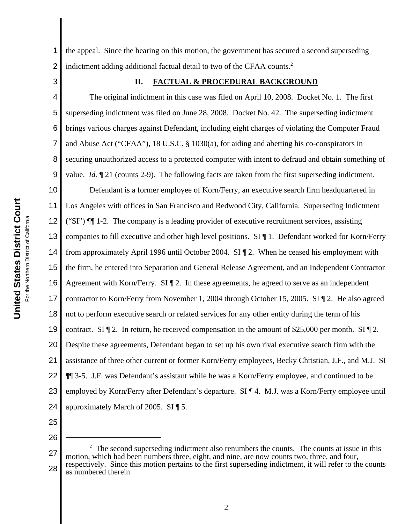1 2 the appeal. Since the hearing on this motion, the government has secured a second superseding indictment adding additional factual detail to two of the CFAA counts.<sup>2</sup>

3

# **II. FACTUAL & PROCEDURAL BACKGROUND**

4 5 6 7 8 9 10 11 12 13 14 15 16 17 18 19 20 21 22 23 24 The original indictment in this case was filed on April 10, 2008. Docket No. 1. The first superseding indictment was filed on June 28, 2008. Docket No. 42. The superseding indictment brings various charges against Defendant, including eight charges of violating the Computer Fraud and Abuse Act ("CFAA"), 18 U.S.C. § 1030(a), for aiding and abetting his co-conspirators in securing unauthorized access to a protected computer with intent to defraud and obtain something of value. *Id.*  $\llbracket 21 \text{ (counts } 2-9)$ . The following facts are taken from the first superseding indictment. Defendant is a former employee of Korn/Ferry, an executive search firm headquartered in Los Angeles with offices in San Francisco and Redwood City, California. Superseding Indictment ("SI")  $\P$ [[] 1-2. The company is a leading provider of executive recruitment services, assisting companies to fill executive and other high level positions. SI ¶ 1. Defendant worked for Korn/Ferry from approximately April 1996 until October 2004. SI ¶ 2. When he ceased his employment with the firm, he entered into Separation and General Release Agreement, and an Independent Contractor Agreement with Korn/Ferry.  $SI \$ ] 2. In these agreements, he agreed to serve as an independent contractor to Korn/Ferry from November 1, 2004 through October 15, 2005. SI ¶ 2. He also agreed not to perform executive search or related services for any other entity during the term of his contract. SI  $\P$  2. In return, he received compensation in the amount of \$25,000 per month. SI  $\P$  2. Despite these agreements, Defendant began to set up his own rival executive search firm with the assistance of three other current or former Korn/Ferry employees, Becky Christian, J.F., and M.J. SI ¶¶ 3-5. J.F. was Defendant's assistant while he was a Korn/Ferry employee, and continued to be employed by Korn/Ferry after Defendant's departure. SI ¶ 4. M.J. was a Korn/Ferry employee until approximately March of 2005. SI ¶ 5.

25

<sup>27</sup> 28  $2^2$  The second superseding indictment also renumbers the counts. The counts at issue in this motion, which had been numbers three, eight, and nine, are now counts two, three, and four, respectively. Since this motion pertains to the first superseding indictment, it will refer to the counts as numbered therein.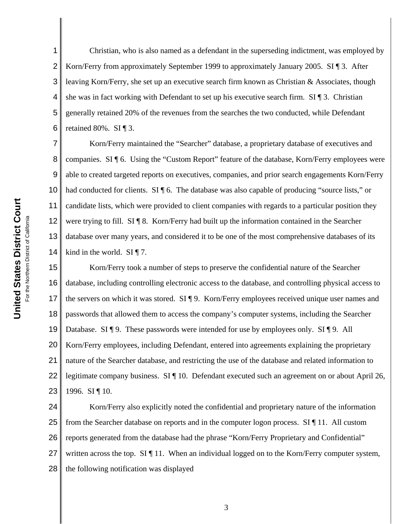1 2 3 4 5 6 Christian, who is also named as a defendant in the superseding indictment, was employed by Korn/Ferry from approximately September 1999 to approximately January 2005. SI ¶ 3. After leaving Korn/Ferry, she set up an executive search firm known as Christian & Associates, though she was in fact working with Defendant to set up his executive search firm.  $SI \$ ] 3. Christian generally retained 20% of the revenues from the searches the two conducted, while Defendant retained 80%. SI ¶ 3.

7 8 9 10 11 12 13 14 Korn/Ferry maintained the "Searcher" database, a proprietary database of executives and companies. SI ¶ 6. Using the "Custom Report" feature of the database, Korn/Ferry employees were able to created targeted reports on executives, companies, and prior search engagements Korn/Ferry had conducted for clients. SI \ 6. The database was also capable of producing "source lists," or candidate lists, which were provided to client companies with regards to a particular position they were trying to fill. SI ¶ 8. Korn/Ferry had built up the information contained in the Searcher database over many years, and considered it to be one of the most comprehensive databases of its kind in the world. SI  $\P$  7.

15 16 17 18 19 20 21 22 23 Korn/Ferry took a number of steps to preserve the confidential nature of the Searcher database, including controlling electronic access to the database, and controlling physical access to the servers on which it was stored. SI ¶ 9. Korn/Ferry employees received unique user names and passwords that allowed them to access the company's computer systems, including the Searcher Database. SI ¶ 9. These passwords were intended for use by employees only. SI ¶ 9. All Korn/Ferry employees, including Defendant, entered into agreements explaining the proprietary nature of the Searcher database, and restricting the use of the database and related information to legitimate company business. SI ¶ 10. Defendant executed such an agreement on or about April 26, 1996. SI ¶ 10.

24 25 26 27 28 Korn/Ferry also explicitly noted the confidential and proprietary nature of the information from the Searcher database on reports and in the computer logon process. SI ¶ 11. All custom reports generated from the database had the phrase "Korn/Ferry Proprietary and Confidential" written across the top. SI ¶ 11. When an individual logged on to the Korn/Ferry computer system, the following notification was displayed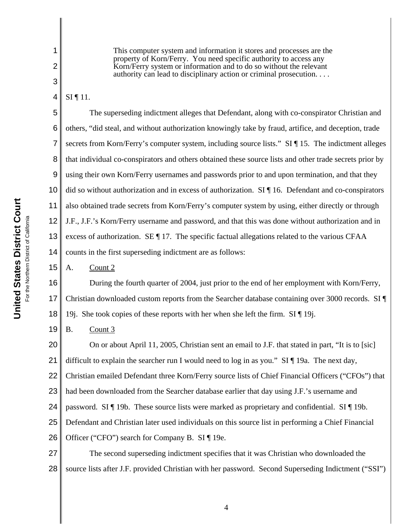This computer system and information it stores and processes are the property of Korn/Ferry. You need specific authority to access any Korn/Ferry system or information and to do so without the relevant authority can lead to disciplinary action or criminal prosecution. . . .

4 SI ¶ 11.

1

2

3

5 6 7 8 9 10 11 12 13 14 The superseding indictment alleges that Defendant, along with co-conspirator Christian and others, "did steal, and without authorization knowingly take by fraud, artifice, and deception, trade secrets from Korn/Ferry's computer system, including source lists." SI ¶ 15. The indictment alleges that individual co-conspirators and others obtained these source lists and other trade secrets prior by using their own Korn/Ferry usernames and passwords prior to and upon termination, and that they did so without authorization and in excess of authorization. SI ¶ 16. Defendant and co-conspirators also obtained trade secrets from Korn/Ferry's computer system by using, either directly or through J.F., J.F.'s Korn/Ferry username and password, and that this was done without authorization and in excess of authorization. SE ¶ 17. The specific factual allegations related to the various CFAA counts in the first superseding indictment are as follows:

15 A. Count 2

16 17 18 During the fourth quarter of 2004, just prior to the end of her employment with Korn/Ferry, Christian downloaded custom reports from the Searcher database containing over 3000 records. SI ¶ 19j. She took copies of these reports with her when she left the firm.  $SI \parallel 19$ j.

19 B. Count 3

20 21 22 23 24 25 26 On or about April 11, 2005, Christian sent an email to J.F. that stated in part, "It is to [sic] difficult to explain the searcher run I would need to log in as you."  $SI \$  19a. The next day, Christian emailed Defendant three Korn/Ferry source lists of Chief Financial Officers ("CFOs") that had been downloaded from the Searcher database earlier that day using J.F.'s username and password. SI ¶ 19b. These source lists were marked as proprietary and confidential. SI ¶ 19b. Defendant and Christian later used individuals on this source list in performing a Chief Financial Officer ("CFO") search for Company B. SI ¶ 19e.

27 28 The second superseding indictment specifies that it was Christian who downloaded the source lists after J.F. provided Christian with her password. Second Superseding Indictment ("SSI")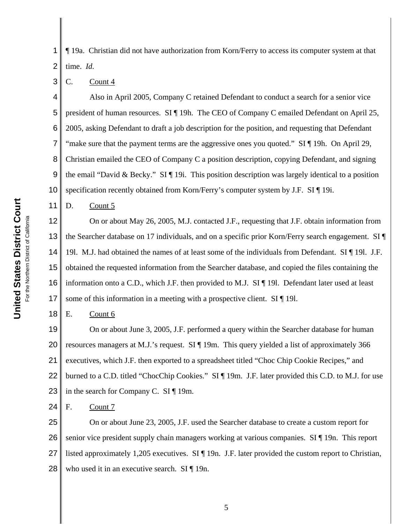United States District Court **United States District Court** For the Northern District of California For the Northern District of California

1 2 ¶ 19a. Christian did not have authorization from Korn/Ferry to access its computer system at that time. *Id.*

#### 3 C. Count 4

4 5 6 7 8 9 10 Also in April 2005, Company C retained Defendant to conduct a search for a senior vice president of human resources. SI ¶ 19h. The CEO of Company C emailed Defendant on April 25, 2005, asking Defendant to draft a job description for the position, and requesting that Defendant "make sure that the payment terms are the aggressive ones you quoted." SI ¶ 19h. On April 29, Christian emailed the CEO of Company C a position description, copying Defendant, and signing the email "David & Becky." SI  $\P$  19i. This position description was largely identical to a position specification recently obtained from Korn/Ferry's computer system by J.F. SI ¶ 19i.

D. Count 5

11

18

12 13 14 15 16 17 On or about May 26, 2005, M.J. contacted J.F., requesting that J.F. obtain information from the Searcher database on 17 individuals, and on a specific prior Korn/Ferry search engagement. SI ¶ 19l. M.J. had obtained the names of at least some of the individuals from Defendant. SI ¶ 19l. J.F. obtained the requested information from the Searcher database, and copied the files containing the information onto a C.D., which J.F. then provided to M.J. SI ¶ 19l. Defendant later used at least some of this information in a meeting with a prospective client. SI ¶ 19.

E. Count 6

19 20 21 22 23 On or about June 3, 2005, J.F. performed a query within the Searcher database for human resources managers at M.J.'s request. SI ¶ 19m. This query yielded a list of approximately 366 executives, which J.F. then exported to a spreadsheet titled "Choc Chip Cookie Recipes," and burned to a C.D. titled "ChocChip Cookies." SI ¶ 19m. J.F. later provided this C.D. to M.J. for use in the search for Company C. SI ¶ 19m.

24 F. Count 7

25 26 27 28 On or about June 23, 2005, J.F. used the Searcher database to create a custom report for senior vice president supply chain managers working at various companies. SI ¶ 19n. This report listed approximately 1,205 executives. SI ¶ 19n. J.F. later provided the custom report to Christian, who used it in an executive search. SI ¶ 19n.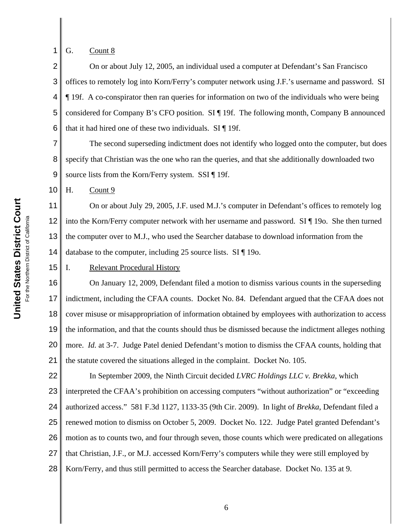**United States District Court United States District Court** For the Northern District of California For the Northern District of California

15

G. Count 8

1

2 3 4 5 6 On or about July 12, 2005, an individual used a computer at Defendant's San Francisco offices to remotely log into Korn/Ferry's computer network using J.F.'s username and password. SI ¶ 19f. A co-conspirator then ran queries for information on two of the individuals who were being considered for Company B's CFO position. SI ¶ 19f. The following month, Company B announced that it had hired one of these two individuals. SI ¶ 19f.

7 8 9 The second superseding indictment does not identify who logged onto the computer, but does specify that Christian was the one who ran the queries, and that she additionally downloaded two source lists from the Korn/Ferry system. SSI ¶ 19f.

10 H. Count 9

11 12 13 14 On or about July 29, 2005, J.F. used M.J.'s computer in Defendant's offices to remotely log into the Korn/Ferry computer network with her username and password. SI ¶ 19o. She then turned the computer over to M.J., who used the Searcher database to download information from the database to the computer, including 25 source lists. SI ¶ 19o.

# I. Relevant Procedural History

16 17 18 19 20 21 On January 12, 2009, Defendant filed a motion to dismiss various counts in the superseding indictment, including the CFAA counts. Docket No. 84. Defendant argued that the CFAA does not cover misuse or misappropriation of information obtained by employees with authorization to access the information, and that the counts should thus be dismissed because the indictment alleges nothing more. *Id.* at 3-7. Judge Patel denied Defendant's motion to dismiss the CFAA counts, holding that the statute covered the situations alleged in the complaint. Docket No. 105.

22 23 24 25 26 27 28 In September 2009, the Ninth Circuit decided *LVRC Holdings LLC v. Brekka*, which interpreted the CFAA's prohibition on accessing computers "without authorization" or "exceeding authorized access." 581 F.3d 1127, 1133-35 (9th Cir. 2009). In light of *Brekka*, Defendant filed a renewed motion to dismiss on October 5, 2009. Docket No. 122. Judge Patel granted Defendant's motion as to counts two, and four through seven, those counts which were predicated on allegations that Christian, J.F., or M.J. accessed Korn/Ferry's computers while they were still employed by Korn/Ferry, and thus still permitted to access the Searcher database. Docket No. 135 at 9.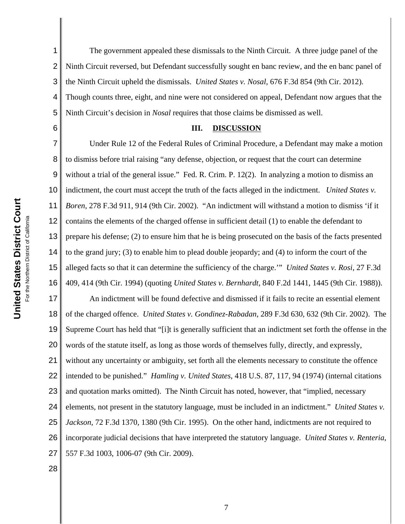6

1 2 3 4 5 The government appealed these dismissals to the Ninth Circuit. A three judge panel of the Ninth Circuit reversed, but Defendant successfully sought en banc review, and the en banc panel of the Ninth Circuit upheld the dismissals. *United States v. Nosal*, 676 F.3d 854 (9th Cir. 2012). Though counts three, eight, and nine were not considered on appeal, Defendant now argues that the Ninth Circuit's decision in *Nosal* requires that those claims be dismissed as well.

### **III. DISCUSSION**

7 8 9 10 11 12 13 14 15 16 Under Rule 12 of the Federal Rules of Criminal Procedure, a Defendant may make a motion to dismiss before trial raising "any defense, objection, or request that the court can determine without a trial of the general issue." Fed. R. Crim. P. 12(2). In analyzing a motion to dismiss an indictment, the court must accept the truth of the facts alleged in the indictment. *United States v. Boren*, 278 F.3d 911, 914 (9th Cir. 2002). "An indictment will withstand a motion to dismiss 'if it contains the elements of the charged offense in sufficient detail (1) to enable the defendant to prepare his defense; (2) to ensure him that he is being prosecuted on the basis of the facts presented to the grand jury; (3) to enable him to plead double jeopardy; and (4) to inform the court of the alleged facts so that it can determine the sufficiency of the charge.'" *United States v. Rosi*, 27 F.3d 409, 414 (9th Cir. 1994) (quoting *United States v. Bernhardt*, 840 F.2d 1441, 1445 (9th Cir. 1988)).

17 18 19 20 21 22 23 24 25 26 27 An indictment will be found defective and dismissed if it fails to recite an essential element of the charged offence. *United States v. Gondinez-Rabadan*, 289 F.3d 630, 632 (9th Cir. 2002). The Supreme Court has held that "[i]t is generally sufficient that an indictment set forth the offense in the words of the statute itself, as long as those words of themselves fully, directly, and expressly, without any uncertainty or ambiguity, set forth all the elements necessary to constitute the offence intended to be punished." *Hamling v. United States*, 418 U.S. 87, 117, 94 (1974) (internal citations and quotation marks omitted). The Ninth Circuit has noted, however, that "implied, necessary elements, not present in the statutory language, must be included in an indictment." *United States v. Jackson*, 72 F.3d 1370, 1380 (9th Cir. 1995). On the other hand, indictments are not required to incorporate judicial decisions that have interpreted the statutory language. *United States v. Renteria*, 557 F.3d 1003, 1006-07 (9th Cir. 2009).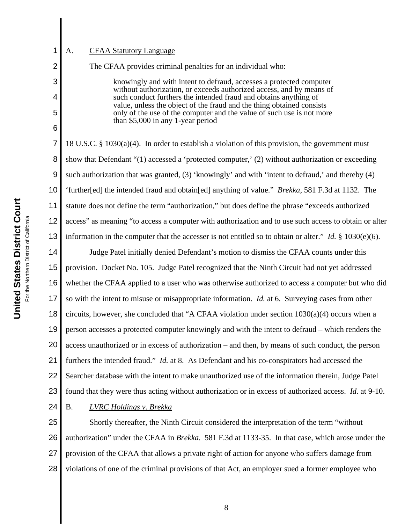# A. CFAA Statutory Language

1

2

3

4

5

6

The CFAA provides criminal penalties for an individual who:

knowingly and with intent to defraud, accesses a protected computer without authorization, or exceeds authorized access, and by means of such conduct furthers the intended fraud and obtains anything of value, unless the object of the fraud and the thing obtained consists only of the use of the computer and the value of such use is not more than \$5,000 in any 1-year period

7 8 9 10 11 12 13 18 U.S.C. § 1030(a)(4). In order to establish a violation of this provision, the government must show that Defendant "(1) accessed a 'protected computer,' (2) without authorization or exceeding such authorization that was granted, (3) 'knowingly' and with 'intent to defraud,' and thereby (4) 'further[ed] the intended fraud and obtain[ed] anything of value." *Brekka*, 581 F.3d at 1132. The statute does not define the term "authorization," but does define the phrase "exceeds authorized access" as meaning "to access a computer with authorization and to use such access to obtain or alter information in the computer that the accesser is not entitled so to obtain or alter." *Id.* § 1030(e)(6).

14 15 16 17 18 19 20 21 22 23 Judge Patel initially denied Defendant's motion to dismiss the CFAA counts under this provision. Docket No. 105. Judge Patel recognized that the Ninth Circuit had not yet addressed whether the CFAA applied to a user who was otherwise authorized to access a computer but who did so with the intent to misuse or misappropriate information. *Id.* at 6. Surveying cases from other circuits, however, she concluded that "A CFAA violation under section  $1030(a)(4)$  occurs when a person accesses a protected computer knowingly and with the intent to defraud – which renders the access unauthorized or in excess of authorization – and then, by means of such conduct, the person furthers the intended fraud." *Id.* at 8. As Defendant and his co-conspirators had accessed the Searcher database with the intent to make unauthorized use of the information therein, Judge Patel found that they were thus acting without authorization or in excess of authorized access. *Id.* at 9-10.

24

B. *LVRC Holdings v. Brekka*

25 26 27 28 Shortly thereafter, the Ninth Circuit considered the interpretation of the term "without authorization" under the CFAA in *Brekka*. 581 F.3d at 1133-35. In that case, which arose under the provision of the CFAA that allows a private right of action for anyone who suffers damage from violations of one of the criminal provisions of that Act, an employer sued a former employee who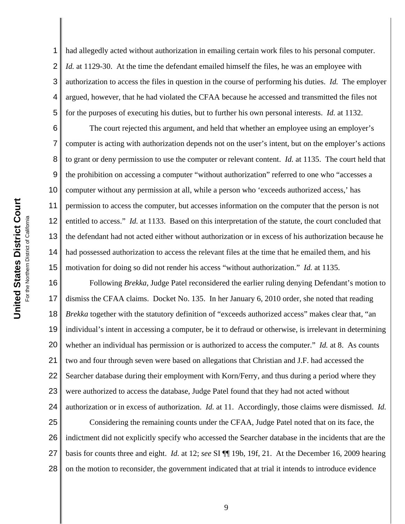1 2 3 4 5 had allegedly acted without authorization in emailing certain work files to his personal computer. *Id.* at 1129-30. At the time the defendant emailed himself the files, he was an employee with authorization to access the files in question in the course of performing his duties. *Id.* The employer argued, however, that he had violated the CFAA because he accessed and transmitted the files not for the purposes of executing his duties, but to further his own personal interests. *Id.* at 1132.

6 7 8 9 10 11 12 13 14 15 The court rejected this argument, and held that whether an employee using an employer's computer is acting with authorization depends not on the user's intent, but on the employer's actions to grant or deny permission to use the computer or relevant content. *Id.* at 1135. The court held that the prohibition on accessing a computer "without authorization" referred to one who "accesses a computer without any permission at all, while a person who 'exceeds authorized access,' has permission to access the computer, but accesses information on the computer that the person is not entitled to access." *Id.* at 1133. Based on this interpretation of the statute, the court concluded that the defendant had not acted either without authorization or in excess of his authorization because he had possessed authorization to access the relevant files at the time that he emailed them, and his motivation for doing so did not render his access "without authorization." *Id.* at 1135.

16 17 18 19 20 21 22 23 24 Following *Brekka*, Judge Patel reconsidered the earlier ruling denying Defendant's motion to dismiss the CFAA claims. Docket No. 135. In her January 6, 2010 order, she noted that reading *Brekka* together with the statutory definition of "exceeds authorized access" makes clear that, "an individual's intent in accessing a computer, be it to defraud or otherwise, is irrelevant in determining whether an individual has permission or is authorized to access the computer." *Id.* at 8. As counts two and four through seven were based on allegations that Christian and J.F. had accessed the Searcher database during their employment with Korn/Ferry, and thus during a period where they were authorized to access the database, Judge Patel found that they had not acted without authorization or in excess of authorization. *Id.* at 11. Accordingly, those claims were dismissed. *Id.*

25 26 27 28 Considering the remaining counts under the CFAA, Judge Patel noted that on its face, the indictment did not explicitly specify who accessed the Searcher database in the incidents that are the basis for counts three and eight. *Id.* at 12; *see* SI ¶¶ 19b, 19f, 21. At the December 16, 2009 hearing on the motion to reconsider, the government indicated that at trial it intends to introduce evidence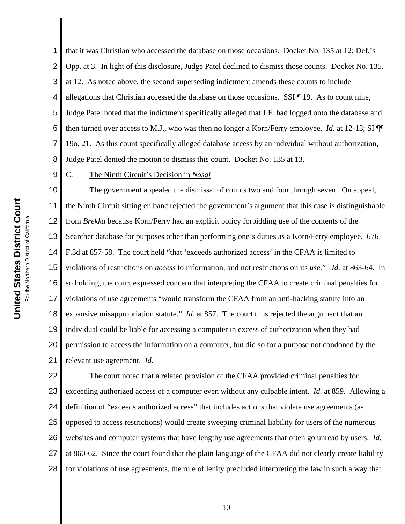1 2 3 4 5 6 7 8 that it was Christian who accessed the database on those occasions. Docket No. 135 at 12; Def.'s Opp. at 3. In light of this disclosure, Judge Patel declined to dismiss those counts. Docket No. 135. at 12. As noted above, the second superseding indictment amends these counts to include allegations that Christian accessed the database on those occasions. SSI ¶ 19. As to count nine, Judge Patel noted that the indictment specifically alleged that J.F. had logged onto the database and then turned over access to M.J., who was then no longer a Korn/Ferry employee. *Id.* at 12-13; SI ¶¶ 19o, 21. As this count specifically alleged database access by an individual without authorization, Judge Patel denied the motion to dismiss this count. Docket No. 135 at 13.

9

# C. The Ninth Circuit's Decision in *Nosal*

10 11 12 13 14 15 16 17 18 19 20 21 The government appealed the dismissal of counts two and four through seven. On appeal, the Ninth Circuit sitting en banc rejected the government's argument that this case is distinguishable from *Brekka* because Korn/Ferry had an explicit policy forbidding use of the contents of the Searcher database for purposes other than performing one's duties as a Korn/Ferry employee. 676 F.3d at 857-58. The court held "that 'exceeds authorized access' in the CFAA is limited to violations of restrictions on *access* to information, and not restrictions on its *use.*" *Id.* at 863-64. In so holding, the court expressed concern that interpreting the CFAA to create criminal penalties for violations of use agreements "would transform the CFAA from an anti-hacking statute into an expansive misappropriation statute." *Id.* at 857. The court thus rejected the argument that an individual could be liable for accessing a computer in excess of authorization when they had permission to access the information on a computer, but did so for a purpose not condoned by the relevant use agreement. *Id.*

22 23 24 25 26 27 28 The court noted that a related provision of the CFAA provided criminal penalties for exceeding authorized access of a computer even without any culpable intent. *Id.* at 859. Allowing a definition of "exceeds authorized access" that includes actions that violate use agreements (as opposed to access restrictions) would create sweeping criminal liability for users of the numerous websites and computer systems that have lengthy use agreements that often go unread by users. *Id.* at 860-62. Since the court found that the plain language of the CFAA did not clearly create liability for violations of use agreements, the rule of lenity precluded interpreting the law in such a way that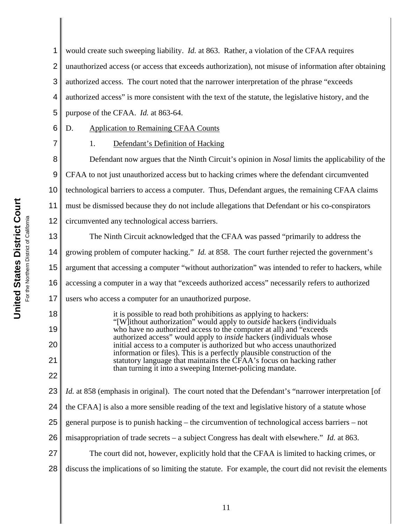4 5 purpose of the CFAA. *Id.* at 863-64. 6 7 8 9 10 **United States District Court United States District Court** 11 For the Northern District of California the Northern District of California 12 13 14 15 16 17 18 it is possible to read both prohibitions as applying to hackers: "[W]ithout authorization" would apply to *outside* hackers (individuals 19 who have no authorized access to the computer at all) and "exceeds" authorized access" would apply to *inside* hackers (individuals whose initial access to a computer is authorized but who access unauthorized 20 information or files). This is a perfectly plausible construction of the 21 22

1

23 24 25 26 27 28 statutory language that maintains the CFAA's focus on hacking rather than turning it into a sweeping Internet-policing mandate. *Id.* at 858 (emphasis in original). The court noted that the Defendant's "narrower interpretation [of the CFAA] is also a more sensible reading of the text and legislative history of a statute whose general purpose is to punish hacking – the circumvention of technological access barriers – not misappropriation of trade secrets – a subject Congress has dealt with elsewhere." *Id.* at 863. The court did not, however, explicitly hold that the CFAA is limited to hacking crimes, or discuss the implications of so limiting the statute. For example, the court did not revisit the elements

2 3 unauthorized access (or access that exceeds authorization), not misuse of information after obtaining authorized access. The court noted that the narrower interpretation of the phrase "exceeds authorized access" is more consistent with the text of the statute, the legislative history, and the

would create such sweeping liability. *Id.* at 863. Rather, a violation of the CFAA requires

D. Application to Remaining CFAA Counts

1. Defendant's Definition of Hacking

Defendant now argues that the Ninth Circuit's opinion in *Nosal* limits the applicability of the CFAA to not just unauthorized access but to hacking crimes where the defendant circumvented technological barriers to access a computer. Thus, Defendant argues, the remaining CFAA claims must be dismissed because they do not include allegations that Defendant or his co-conspirators circumvented any technological access barriers.

The Ninth Circuit acknowledged that the CFAA was passed "primarily to address the growing problem of computer hacking." *Id.* at 858. The court further rejected the government's argument that accessing a computer "without authorization" was intended to refer to hackers, while accessing a computer in a way that "exceeds authorized access" necessarily refers to authorized users who access a computer for an unauthorized purpose.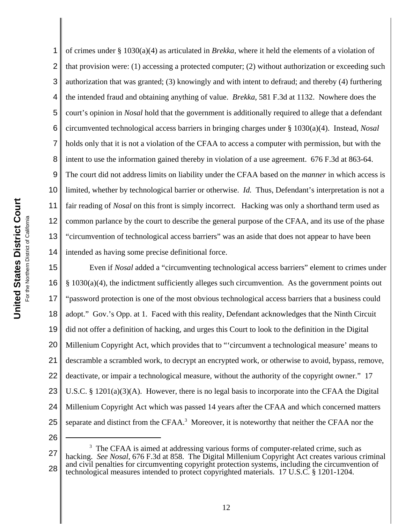1 2 3 4 5 6 7 8 9 10 11 12 13 14 15 of crimes under § 1030(a)(4) as articulated in *Brekka*, where it held the elements of a violation of that provision were: (1) accessing a protected computer; (2) without authorization or exceeding such authorization that was granted; (3) knowingly and with intent to defraud; and thereby (4) furthering the intended fraud and obtaining anything of value. *Brekka*, 581 F.3d at 1132. Nowhere does the court's opinion in *Nosal* hold that the government is additionally required to allege that a defendant circumvented technological access barriers in bringing charges under § 1030(a)(4). Instead, *Nosal* holds only that it is not a violation of the CFAA to access a computer with permission, but with the intent to use the information gained thereby in violation of a use agreement. 676 F.3d at 863-64. The court did not address limits on liability under the CFAA based on the *manner* in which access is limited, whether by technological barrier or otherwise. *Id.* Thus, Defendant's interpretation is not a fair reading of *Nosal* on this front is simply incorrect. Hacking was only a shorthand term used as common parlance by the court to describe the general purpose of the CFAA, and its use of the phase "circumvention of technological access barriers" was an aside that does not appear to have been intended as having some precise definitional force.

16 17 18 19 20 21 22 23 24 25 Even if *Nosal* added a "circumventing technological access barriers" element to crimes under  $§ 1030(a)(4)$ , the indictment sufficiently alleges such circumvention. As the government points out "password protection is one of the most obvious technological access barriers that a business could adopt." Gov.'s Opp. at 1. Faced with this reality, Defendant acknowledges that the Ninth Circuit did not offer a definition of hacking, and urges this Court to look to the definition in the Digital Millenium Copyright Act, which provides that to "'circumvent a technological measure' means to descramble a scrambled work, to decrypt an encrypted work, or otherwise to avoid, bypass, remove, deactivate, or impair a technological measure, without the authority of the copyright owner." 17 U.S.C. § 1201(a)(3)(A). However, there is no legal basis to incorporate into the CFAA the Digital Millenium Copyright Act which was passed 14 years after the CFAA and which concerned matters separate and distinct from the CFAA.<sup>3</sup> Moreover, it is noteworthy that neither the CFAA nor the

<sup>27</sup> 28 3 The CFAA is aimed at addressing various forms of computer-related crime, such as hacking. *See Nosal*, 676 F.3d at 858. The Digital Millenium Copyright Act creates various criminal and civil penalties for circumventing copyright protection systems, including the circumvention of technological measures intended to protect copyrighted materials. 17 U.S.C. § 1201-1204.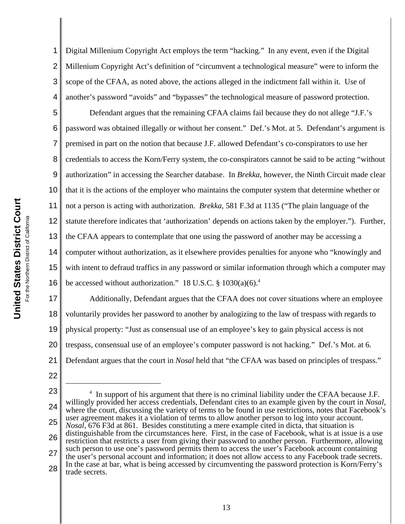1 2 3 4 Digital Millenium Copyright Act employs the term "hacking." In any event, even if the Digital Millenium Copyright Act's definition of "circumvent a technological measure" were to inform the scope of the CFAA, as noted above, the actions alleged in the indictment fall within it. Use of another's password "avoids" and "bypasses" the technological measure of password protection.

5 6 7 8 9 10 11 12 13 14 15 16 Defendant argues that the remaining CFAA claims fail because they do not allege "J.F.'s password was obtained illegally or without her consent." Def.'s Mot. at 5. Defendant's argument is premised in part on the notion that because J.F. allowed Defendant's co-conspirators to use her credentials to access the Korn/Ferry system, the co-conspirators cannot be said to be acting "without authorization" in accessing the Searcher database. In *Brekka*, however, the Ninth Circuit made clear that it is the actions of the employer who maintains the computer system that determine whether or not a person is acting with authorization. *Brekka*, 581 F.3d at 1135 ("The plain language of the statute therefore indicates that 'authorization' depends on actions taken by the employer."). Further, the CFAA appears to contemplate that one using the password of another may be accessing a computer without authorization, as it elsewhere provides penalties for anyone who "knowingly and with intent to defraud traffics in any password or similar information through which a computer may be accessed without authorization." 18 U.S.C.  $\S 1030(a)(6)^4$ 

17 18 19 20 21 Additionally, Defendant argues that the CFAA does not cover situations where an employee voluntarily provides her password to another by analogizing to the law of trespass with regards to physical property: "Just as consensual use of an employee's key to gain physical access is not trespass, consensual use of an employee's computer password is not hacking." Def.'s Mot. at 6. Defendant argues that the court in *Nosal* held that "the CFAA was based on principles of trespass."

- 22
- 23 24 25 26 27 28 <sup>4</sup> In support of his argument that there is no criminal liability under the CFAA because J.F. willingly provided her access credentials, Defendant cites to an example given by the court in *Nosal*, where the court, discussing the variety of terms to be found in use restrictions, notes that Facebook's user agreement makes it a violation of terms to allow another person to log into your account. *Nosal*, 676 F3d at 861. Besides constituting a mere example cited in dicta, that situation is distinguishable from the circumstances here. First, in the case of Facebook, what is at issue is a use restriction that restricts a user from giving their password to another person. Furthermore, allowing such person to use one's password permits them to access the user's Facebook account containing the user's personal account and information; it does not allow access to any Facebook trade secrets. In the case at bar, what is being accessed by circumventing the password protection is Korn/Ferry's trade secrets.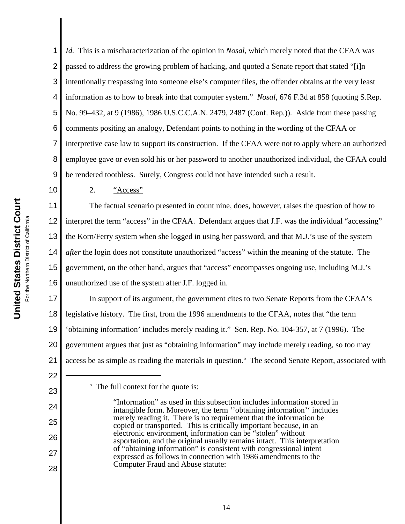10

22

23

24

25

26

27

28

1 2 3 4 5 6 7 8 9 *Id.* This is a mischaracterization of the opinion in *Nosal*, which merely noted that the CFAA was passed to address the growing problem of hacking, and quoted a Senate report that stated "[i]n intentionally trespassing into someone else's computer files, the offender obtains at the very least information as to how to break into that computer system." *Nosal*, 676 F.3d at 858 (quoting S.Rep. No. 99–432, at 9 (1986), 1986 U.S.C.C.A.N. 2479, 2487 (Conf. Rep.)). Aside from these passing comments positing an analogy, Defendant points to nothing in the wording of the CFAA or interpretive case law to support its construction. If the CFAA were not to apply where an authorized employee gave or even sold his or her password to another unauthorized individual, the CFAA could be rendered toothless. Surely, Congress could not have intended such a result.

2. "Access"

11 12 13 14 15 16 The factual scenario presented in count nine, does, however, raises the question of how to interpret the term "access" in the CFAA. Defendant argues that J.F. was the individual "accessing" the Korn/Ferry system when she logged in using her password, and that M.J.'s use of the system *after* the login does not constitute unauthorized "access" within the meaning of the statute. The government, on the other hand, argues that "access" encompasses ongoing use, including M.J.'s unauthorized use of the system after J.F. logged in.

17 18 19 20 21 In support of its argument, the government cites to two Senate Reports from the CFAA's legislative history. The first, from the 1996 amendments to the CFAA, notes that "the term 'obtaining information' includes merely reading it." Sen. Rep. No. 104-357, at 7 (1996). The government argues that just as "obtaining information" may include merely reading, so too may access be as simple as reading the materials in question.<sup>5</sup> The second Senate Report, associated with

<sup>&</sup>lt;sup>5</sup> The full context for the quote is:

<sup>&</sup>quot;Information" as used in this subsection includes information stored in intangible form. Moreover, the term ''obtaining information'' includes merely reading it. There is no requirement that the information be copied or transported. This is critically important because, in an electronic environment, information can be "stolen" without asportation, and the original usually remains intact. This interpretation of "obtaining information" is consistent with congressional intent expressed as follows in connection with 1986 amendments to the Computer Fraud and Abuse statute: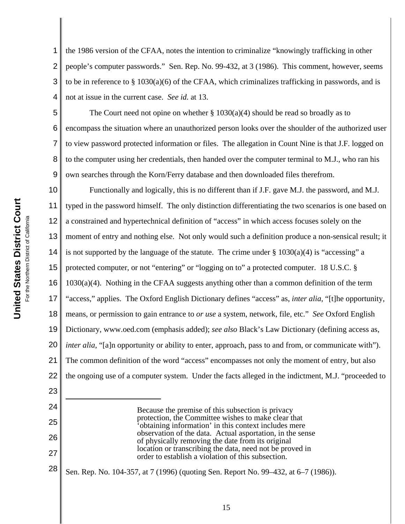6

7

23

24

25

26

27

1 2 3 4 the 1986 version of the CFAA, notes the intention to criminalize "knowingly trafficking in other people's computer passwords." Sen. Rep. No. 99-432, at 3 (1986). This comment, however, seems to be in reference to §  $1030(a)(6)$  of the CFAA, which criminalizes trafficking in passwords, and is not at issue in the current case. *See id.* at 13.

5 8 9 The Court need not opine on whether  $\S 1030(a)(4)$  should be read so broadly as to encompass the situation where an unauthorized person looks over the shoulder of the authorized user to view password protected information or files. The allegation in Count Nine is that J.F. logged on to the computer using her credentials, then handed over the computer terminal to M.J., who ran his own searches through the Korn/Ferry database and then downloaded files therefrom.

10 11 12 13 14 15 16 17 18 19 20 21 22 Functionally and logically, this is no different than if J.F. gave M.J. the password, and M.J. typed in the password himself. The only distinction differentiating the two scenarios is one based on a constrained and hypertechnical definition of "access" in which access focuses solely on the moment of entry and nothing else. Not only would such a definition produce a non-sensical result; it is not supported by the language of the statute. The crime under  $\S 1030(a)(4)$  is "accessing" a protected computer, or not "entering" or "logging on to" a protected computer. 18 U.S.C. § 1030(a)(4). Nothing in the CFAA suggests anything other than a common definition of the term "access," applies. The Oxford English Dictionary defines "access" as, *inter alia*, "[t]he opportunity, means, or permission to gain entrance to *or use* a system, network, file, etc." *See* Oxford English Dictionary, www.oed.com (emphasis added); *see also* Black's Law Dictionary (defining access as, *inter alia*, "[a]n opportunity or ability to enter, approach, pass to and from, or communicate with"). The common definition of the word "access" encompasses not only the moment of entry, but also the ongoing use of a computer system. Under the facts alleged in the indictment, M.J. "proceeded to

> Because the premise of this subsection is privacy protection, the Committee wishes to make clear that 'obtaining information' in this context includes mere observation of the data. Actual asportation, in the sense of physically removing the date from its original location or transcribing the data, need not be proved in order to establish a violation of this subsection.

28 Sen. Rep. No. 104-357, at 7 (1996) (quoting Sen. Report No. 99–432, at 6–7 (1986)).